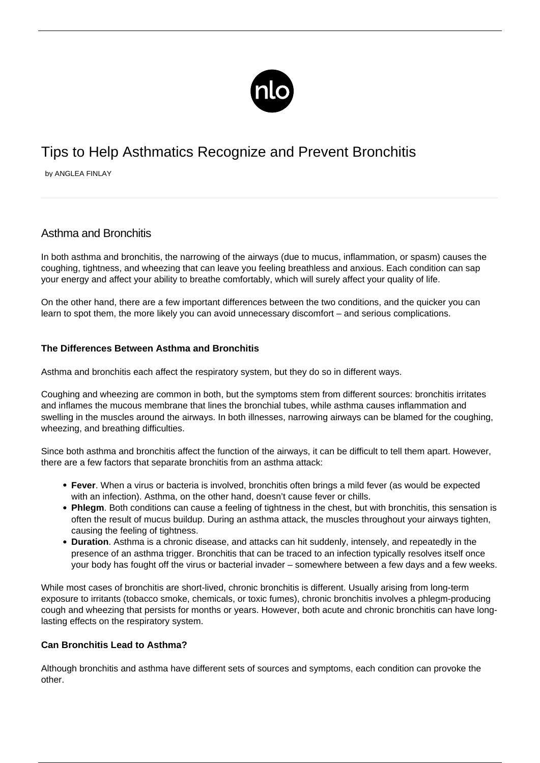

# Tips to Help Asthmatics Recognize and Prevent Bronchitis

by ANGLEA FINLAY

## Asthma and Bronchitis

In both asthma and bronchitis, the narrowing of the airways (due to mucus, inflammation, or spasm) causes the coughing, tightness, and wheezing that can leave you feeling breathless and anxious. Each condition can sap your energy and affect your ability to breathe comfortably, which will surely affect your quality of life.

On the other hand, there are a few important differences between the two conditions, and the quicker you can learn to spot them, the more likely you can avoid unnecessary discomfort – and serious complications.

### **The Differences Between Asthma and Bronchitis**

Asthma and bronchitis each affect the respiratory system, but they do so in different ways.

Coughing and wheezing are common in both, but the symptoms stem from different sources: bronchitis irritates and inflames the mucous membrane that lines the bronchial tubes, while asthma causes inflammation and swelling in the muscles around the airways. In both illnesses, narrowing airways can be blamed for the coughing, wheezing, and breathing difficulties.

Since both asthma and bronchitis affect the function of the airways, it can be difficult to tell them apart. However, there are a few factors that separate bronchitis from an asthma attack:

- **Fever**. When a virus or bacteria is involved, bronchitis often brings a mild fever (as would be expected with an infection). Asthma, on the other hand, doesn't cause fever or chills.
- **Phlegm**. Both conditions can cause a feeling of tightness in the chest, but with bronchitis, this sensation is often the result of mucus buildup. During an asthma attack, the muscles throughout your airways tighten, causing the feeling of tightness.
- **Duration**. Asthma is a chronic disease, and attacks can hit suddenly, intensely, and repeatedly in the presence of an asthma trigger. Bronchitis that can be traced to an infection typically resolves itself once your body has fought off the virus or bacterial invader – somewhere between a few days and a few weeks.

While most cases of bronchitis are short-lived, chronic bronchitis is different. Usually arising from long-term exposure to irritants (tobacco smoke, chemicals, or toxic fumes), chronic bronchitis involves a phlegm-producing cough and wheezing that persists for months or years. However, both acute and chronic bronchitis can have longlasting effects on the respiratory system.

#### **Can Bronchitis Lead to Asthma?**

Although bronchitis and asthma have different sets of sources and symptoms, each condition can provoke the other.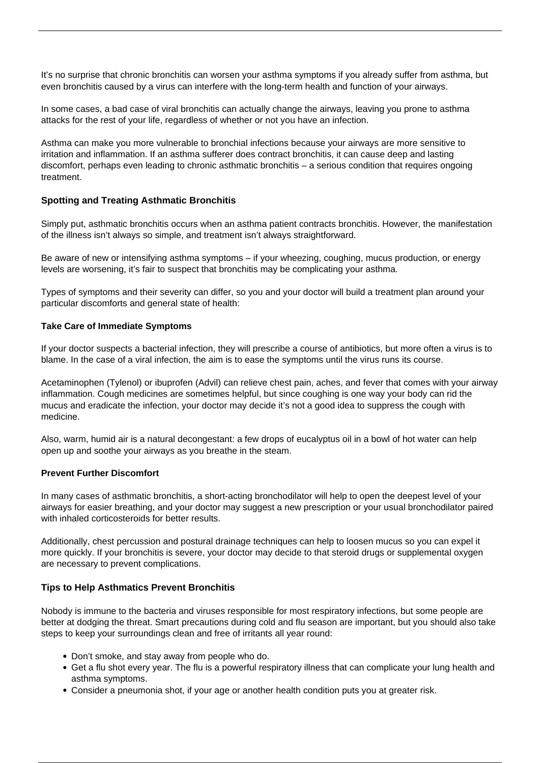It's no surprise that chronic bronchitis can worsen your [asthma symptoms](/symptoms-asthma/) if you already suffer from asthma, but even bronchitis caused by a virus can interfere with the long-term health and function of your airways.

In some cases, a bad case of viral bronchitis can actually change the airways, leaving you prone to asthma attacks for the rest of your life, regardless of whether or not you have an infection.

Asthma can make you more vulnerable to bronchial infections because your airways are more sensitive to irritation and inflammation. If an asthma sufferer does contract bronchitis, it can cause deep and lasting discomfort, perhaps even leading to chronic asthmatic bronchitis – a serious condition that requires ongoing treatment.

#### **Spotting and Treating Asthmatic Bronchitis**

Simply put, asthmatic bronchitis occurs when an asthma patient contracts bronchitis. However, the manifestation of the illness isn't always so simple, and treatment isn't always straightforward.

Be aware of new or intensifying asthma symptoms – if your wheezing, coughing, mucus production, or energy levels are worsening, it's fair to suspect that bronchitis may be complicating your asthma.

Types of symptoms and their severity can differ, so you and your doctor will build a treatment plan around your particular discomforts and general state of health:

#### **Take Care of Immediate Symptoms**

If your doctor suspects a bacterial infection, they will prescribe a course of antibiotics, but more often a virus is to blame. In the case of a viral infection, the aim is to ease the symptoms until the virus runs its course.

Acetaminophen (Tylenol) or ibuprofen (Advil) can relieve chest pain, aches, and fever that comes with your airway inflammation. Cough medicines are sometimes helpful, but since coughing is one way your body can rid the mucus and eradicate the infection, your doctor may decide it's not a good idea to suppress the cough with medicine.

Also, warm, humid air is a natural decongestant: a few drops of eucalyptus oil in a bowl of hot water can help open up and soothe your airways as you breathe in the steam.

#### **Prevent Further Discomfort**

In many cases of asthmatic bronchitis, a short-acting bronchodilator will help to open the deepest level of your airways for easier breathing, and your doctor may suggest a new prescription or your usual bronchodilator paired with inhaled corticosteroids for better results.

Additionally, chest percussion and postural drainage techniques can help to loosen mucus so you can expel it more quickly. If your bronchitis is severe, your doctor may decide to that steroid drugs or supplemental oxygen are necessary to prevent complications.

#### **Tips to Help Asthmatics Prevent Bronchitis**

Nobody is immune to the bacteria and viruses responsible for most respiratory infections, but some people are better at dodging the threat. Smart precautions during cold and flu season are important, but you should also take steps to keep your surroundings clean and free of irritants all year round:

- [Don't smoke](/smoking-and-asthma/), and stay away from people who do.
- Get a flu shot every year. The flu is a powerful respiratory illness that can complicate your lung health and asthma symptoms.
- Consider a pneumonia shot, if your age or another health condition puts you at greater risk.